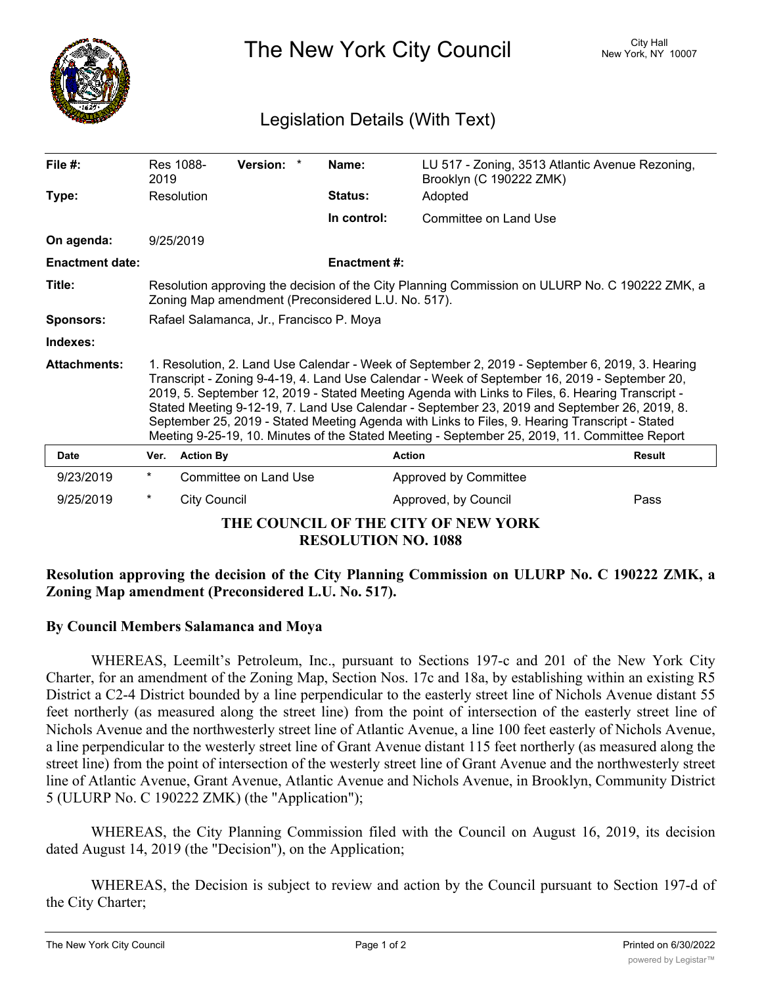

The New York City Council New York, NY 10007

## Legislation Details (With Text)

| File $#$ :                                                        | 2019                                                                                                                                                                                                                                                                                                                                                                                                                                                                                                                                                                                                    | Res 1088-           | Version: *            |  | Name:               | LU 517 - Zoning, 3513 Atlantic Avenue Rezoning,<br>Brooklyn (C 190222 ZMK) |               |
|-------------------------------------------------------------------|---------------------------------------------------------------------------------------------------------------------------------------------------------------------------------------------------------------------------------------------------------------------------------------------------------------------------------------------------------------------------------------------------------------------------------------------------------------------------------------------------------------------------------------------------------------------------------------------------------|---------------------|-----------------------|--|---------------------|----------------------------------------------------------------------------|---------------|
| Type:                                                             |                                                                                                                                                                                                                                                                                                                                                                                                                                                                                                                                                                                                         | Resolution          |                       |  | <b>Status:</b>      | Adopted                                                                    |               |
|                                                                   |                                                                                                                                                                                                                                                                                                                                                                                                                                                                                                                                                                                                         |                     |                       |  | In control:         | Committee on Land Use                                                      |               |
| On agenda:                                                        | 9/25/2019                                                                                                                                                                                                                                                                                                                                                                                                                                                                                                                                                                                               |                     |                       |  |                     |                                                                            |               |
| <b>Enactment date:</b>                                            |                                                                                                                                                                                                                                                                                                                                                                                                                                                                                                                                                                                                         |                     |                       |  | <b>Enactment #:</b> |                                                                            |               |
| Title:                                                            | Resolution approving the decision of the City Planning Commission on ULURP No. C 190222 ZMK, a<br>Zoning Map amendment (Preconsidered L.U. No. 517).                                                                                                                                                                                                                                                                                                                                                                                                                                                    |                     |                       |  |                     |                                                                            |               |
| <b>Sponsors:</b>                                                  | Rafael Salamanca, Jr., Francisco P. Moya                                                                                                                                                                                                                                                                                                                                                                                                                                                                                                                                                                |                     |                       |  |                     |                                                                            |               |
| Indexes:                                                          |                                                                                                                                                                                                                                                                                                                                                                                                                                                                                                                                                                                                         |                     |                       |  |                     |                                                                            |               |
| <b>Attachments:</b>                                               | 1. Resolution, 2. Land Use Calendar - Week of September 2, 2019 - September 6, 2019, 3. Hearing<br>Transcript - Zoning 9-4-19, 4. Land Use Calendar - Week of September 16, 2019 - September 20,<br>2019, 5. September 12, 2019 - Stated Meeting Agenda with Links to Files, 6. Hearing Transcript -<br>Stated Meeting 9-12-19, 7. Land Use Calendar - September 23, 2019 and September 26, 2019, 8.<br>September 25, 2019 - Stated Meeting Agenda with Links to Files, 9. Hearing Transcript - Stated<br>Meeting 9-25-19, 10. Minutes of the Stated Meeting - September 25, 2019, 11. Committee Report |                     |                       |  |                     |                                                                            |               |
| <b>Date</b>                                                       | Ver.                                                                                                                                                                                                                                                                                                                                                                                                                                                                                                                                                                                                    | <b>Action By</b>    |                       |  | <b>Action</b>       |                                                                            | <b>Result</b> |
| 9/23/2019                                                         | $^{\star}$                                                                                                                                                                                                                                                                                                                                                                                                                                                                                                                                                                                              |                     | Committee on Land Use |  |                     | Approved by Committee                                                      |               |
| 9/25/2019                                                         | $^\star$                                                                                                                                                                                                                                                                                                                                                                                                                                                                                                                                                                                                | <b>City Council</b> |                       |  |                     | Approved, by Council                                                       | Pass          |
| THE COUNCIL OF THE CITY OF NEW YORK<br><b>RESOLUTION NO. 1088</b> |                                                                                                                                                                                                                                                                                                                                                                                                                                                                                                                                                                                                         |                     |                       |  |                     |                                                                            |               |

## **Resolution approving the decision of the City Planning Commission on ULURP No. C 190222 ZMK, a Zoning Map amendment (Preconsidered L.U. No. 517).**

## **By Council Members Salamanca and Moya**

WHEREAS, Leemilt's Petroleum, Inc., pursuant to Sections 197-c and 201 of the New York City Charter, for an amendment of the Zoning Map, Section Nos. 17c and 18a, by establishing within an existing R5 District a C2-4 District bounded by a line perpendicular to the easterly street line of Nichols Avenue distant 55 feet northerly (as measured along the street line) from the point of intersection of the easterly street line of Nichols Avenue and the northwesterly street line of Atlantic Avenue, a line 100 feet easterly of Nichols Avenue, a line perpendicular to the westerly street line of Grant Avenue distant 115 feet northerly (as measured along the street line) from the point of intersection of the westerly street line of Grant Avenue and the northwesterly street line of Atlantic Avenue, Grant Avenue, Atlantic Avenue and Nichols Avenue, in Brooklyn, Community District 5 (ULURP No. C 190222 ZMK) (the "Application");

WHEREAS, the City Planning Commission filed with the Council on August 16, 2019, its decision dated August 14, 2019 (the "Decision"), on the Application;

WHEREAS, the Decision is subject to review and action by the Council pursuant to Section 197-d of the City Charter;